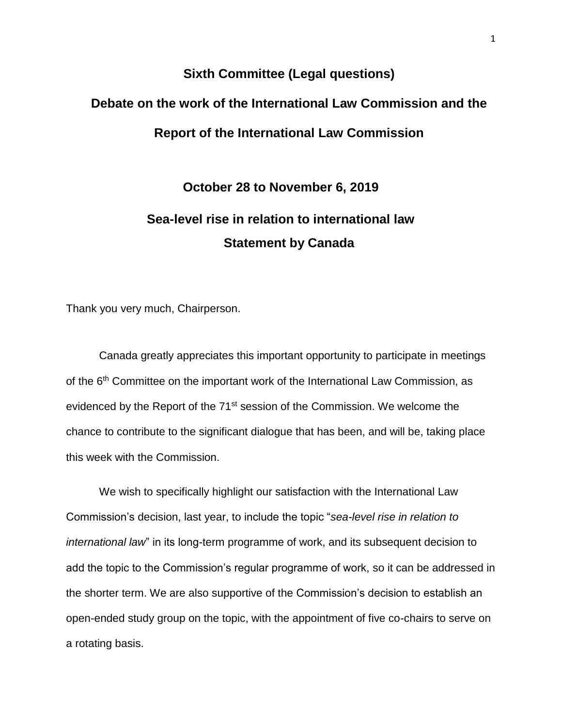## **Sixth Committee (Legal questions) Debate on the work of the International Law Commission and the Report of the International Law Commission**

## **October 28 to November 6, 2019 Sea-level rise in relation to international law Statement by Canada**

Thank you very much, Chairperson.

Canada greatly appreciates this important opportunity to participate in meetings of the 6<sup>th</sup> Committee on the important work of the International Law Commission, as evidenced by the Report of the 71st session of the Commission. We welcome the chance to contribute to the significant dialogue that has been, and will be, taking place this week with the Commission.

We wish to specifically highlight our satisfaction with the International Law Commission's decision, last year, to include the topic "*sea-level rise in relation to international law*" in its long-term programme of work, and its subsequent decision to add the topic to the Commission's regular programme of work, so it can be addressed in the shorter term. We are also supportive of the Commission's decision to establish an open-ended study group on the topic, with the appointment of five co-chairs to serve on a rotating basis.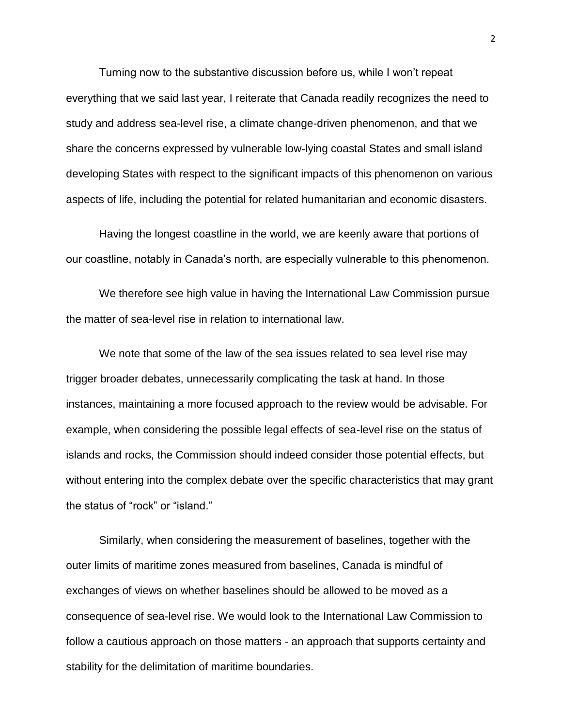Turning now to the substantive discussion before us, while I won't repeat everything that we said last year, I reiterate that Canada readily recognizes the need to study and address sea-level rise, a climate change-driven phenomenon, and that we share the concerns expressed by vulnerable low-lying coastal States and small island developing States with respect to the significant impacts of this phenomenon on various aspects of life, including the potential for related humanitarian and economic disasters.

Having the longest coastline in the world, we are keenly aware that portions of our coastline, notably in Canada's north, are especially vulnerable to this phenomenon.

We therefore see high value in having the International Law Commission pursue the matter of sea-level rise in relation to international law.

We note that some of the law of the sea issues related to sea level rise may trigger broader debates, unnecessarily complicating the task at hand. In those instances, maintaining a more focused approach to the review would be advisable. For example, when considering the possible legal effects of sea-level rise on the status of islands and rocks, the Commission should indeed consider those potential effects, but without entering into the complex debate over the specific characteristics that may grant the status of "rock" or "island."

Similarly, when considering the measurement of baselines, together with the outer limits of maritime zones measured from baselines, Canada is mindful of exchanges of views on whether baselines should be allowed to be moved as a consequence of sea-level rise. We would look to the International Law Commission to follow a cautious approach on those matters - an approach that supports certainty and stability for the delimitation of maritime boundaries.